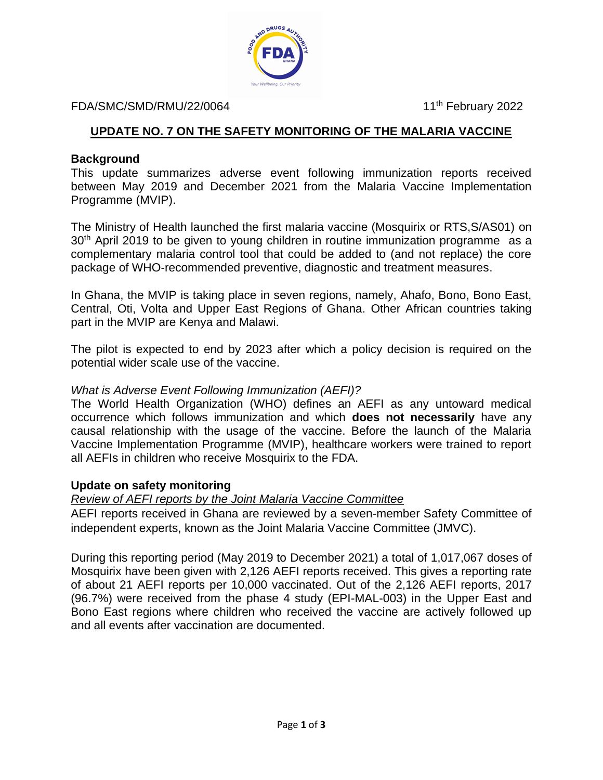

#### FDA/SMC/SMD/RMU/22/0064 11<sup>th</sup> February 2022

# **UPDATE NO. 7 ON THE SAFETY MONITORING OF THE MALARIA VACCINE**

### **Background**

This update summarizes adverse event following immunization reports received between May 2019 and December 2021 from the Malaria Vaccine Implementation Programme (MVIP).

The Ministry of Health launched the first malaria vaccine (Mosquirix or RTS,S/AS01) on 30<sup>th</sup> April 2019 to be given to young children in routine immunization programme as a complementary malaria control tool that could be added to (and not replace) the core package of WHO-recommended preventive, diagnostic and treatment measures.

In Ghana, the MVIP is taking place in seven regions, namely, Ahafo, Bono, Bono East, Central, Oti, Volta and Upper East Regions of Ghana. Other African countries taking part in the MVIP are Kenya and Malawi.

The pilot is expected to end by 2023 after which a policy decision is required on the potential wider scale use of the vaccine.

## *What is Adverse Event Following Immunization (AEFI)?*

The World Health Organization (WHO) defines an AEFI as any untoward medical occurrence which follows immunization and which **does not necessarily** have any causal relationship with the usage of the vaccine. Before the launch of the Malaria Vaccine Implementation Programme (MVIP), healthcare workers were trained to report all AEFIs in children who receive Mosquirix to the FDA.

### **Update on safety monitoring**

# *Review of AEFI reports by the Joint Malaria Vaccine Committee*

AEFI reports received in Ghana are reviewed by a seven-member Safety Committee of independent experts, known as the Joint Malaria Vaccine Committee (JMVC).

During this reporting period (May 2019 to December 2021) a total of 1,017,067 doses of Mosquirix have been given with 2,126 AEFI reports received. This gives a reporting rate of about 21 AEFI reports per 10,000 vaccinated. Out of the 2,126 AEFI reports, 2017 (96.7%) were received from the phase 4 study (EPI-MAL-003) in the Upper East and Bono East regions where children who received the vaccine are actively followed up and all events after vaccination are documented.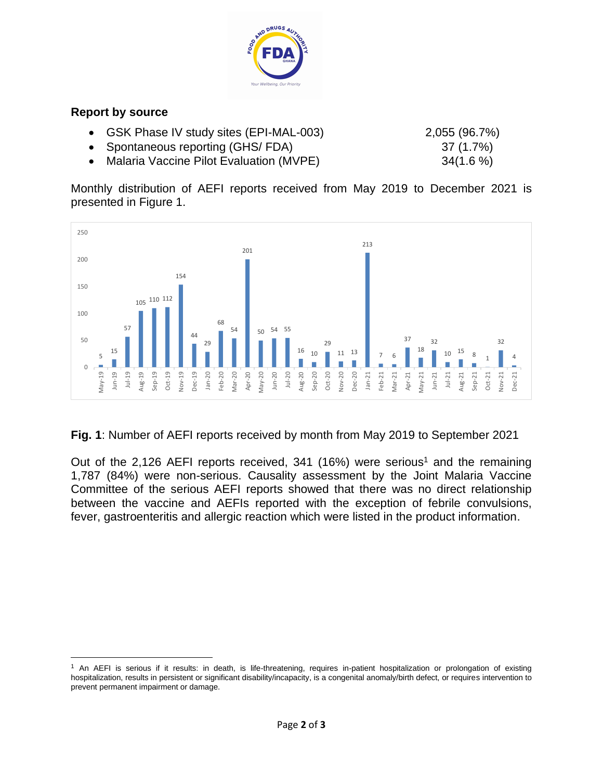

## **Report by source**

- GSK Phase IV study sites (EPI-MAL-003) 2,055 (96.7%)
- Spontaneous reporting (GHS/ FDA) 37 (1.7%)
- Malaria Vaccine Pilot Evaluation (MVPE) 34(1.6 %)

Monthly distribution of AEFI reports received from May 2019 to December 2021 is presented in Figure 1.



**Fig. 1**: Number of AEFI reports received by month from May 2019 to September 2021

Out of the 2,126 AEFI reports received, 341 (16%) were serious<sup>1</sup> and the remaining 1,787 (84%) were non-serious. Causality assessment by the Joint Malaria Vaccine Committee of the serious AEFI reports showed that there was no direct relationship between the vaccine and AEFIs reported with the exception of febrile convulsions, fever, gastroenteritis and allergic reaction which were listed in the product information.

<sup>&</sup>lt;sup>1</sup> An AEFI is serious if it results: in death, is life-threatening, requires in-patient hospitalization or prolongation of existing hospitalization, results in persistent or significant disability/incapacity, is a congenital anomaly/birth defect, or requires intervention to prevent permanent impairment or damage.